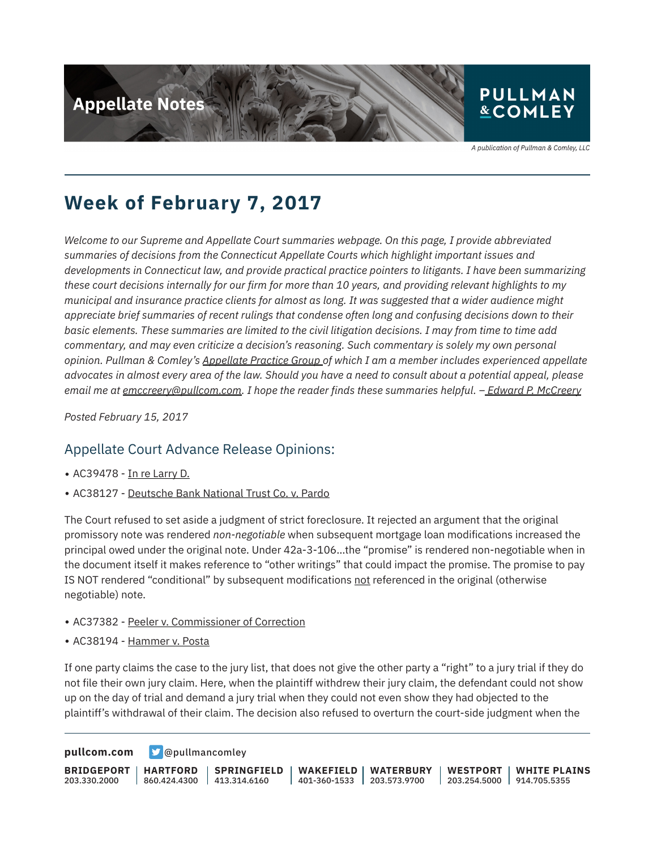

A publication of Pullman & Comley, LLC

# **Week of February 7, 2017**

*Welcome to our Supreme and Appellate Court summaries webpage. On this page, I provide abbreviated summaries of decisions from the Connecticut Appellate Courts which highlight important issues and developments in Connecticut law, and provide practical practice pointers to litigants. I have been summarizing these court decisions internally for our firm for more than 10 years, and providing relevant highlights to my municipal and insurance practice clients for almost as long. It was suggested that a wider audience might appreciate brief summaries of recent rulings that condense often long and confusing decisions down to their basic elements. These summaries are limited to the civil litigation decisions. I may from time to time add commentary, and may even criticize a decision's reasoning. Such commentary is solely my own personal opinion. Pullman & Comley's Appellate Practice Group of which I am a member includes experienced appellate advocates in almost every area of the law. Should you have a need to consult about a potential appeal, please email me at emccreery@pullcom.com. I hope the reader finds these summaries helpful. – Edward P. McCreery*

*Posted February 15, 2017*

### Appellate Court Advance Release Opinions:

- AC39478 In re Larry D.
- AC38127 Deutsche Bank National Trust Co. v. Pardo

The Court refused to set aside a judgment of strict foreclosure. It rejected an argument that the original promissory note was rendered *non-negotiable* when subsequent mortgage loan modifications increased the principal owed under the original note. Under 42a-3-106…the "promise" is rendered non-negotiable when in the document itself it makes reference to "other writings" that could impact the promise. The promise to pay IS NOT rendered "conditional" by subsequent modifications not referenced in the original (otherwise negotiable) note.

- AC37382 Peeler v. Commissioner of Correction
- AC38194 Hammer v. Posta

If one party claims the case to the jury list, that does not give the other party a "right" to a jury trial if they do not file their own jury claim. Here, when the plaintiff withdrew their jury claim, the defendant could not show up on the day of trial and demand a jury trial when they could not even show they had objected to the plaintiff's withdrawal of their claim. The decision also refused to overturn the court-side judgment when the

**[pullcom.com](https://www.pullcom.com) g** [@pullmancomley](https://twitter.com/PullmanComley)

**BRIDGEPORT** 203.330.2000 **HARTFORD** 860.424.4300 **SPRINGFIELD**  $1413.314.6160$ **WAKEFIELD** 401-360-1533 203.573.9700 **WATERBURY WESTPORT** 203.254.5000 914.705.5355 **WHITE PLAINS**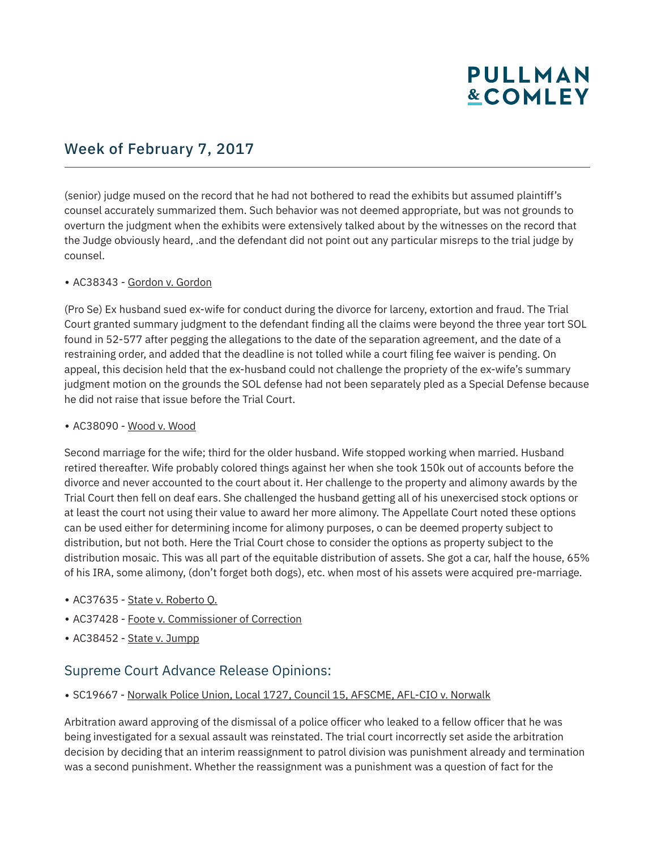# **PULLMAN &COMLEY**

### Week of February 7, 2017

(senior) judge mused on the record that he had not bothered to read the exhibits but assumed plaintiff's counsel accurately summarized them. Such behavior was not deemed appropriate, but was not grounds to overturn the judgment when the exhibits were extensively talked about by the witnesses on the record that the Judge obviously heard, .and the defendant did not point out any particular misreps to the trial judge by counsel.

#### ● AC38343 - Gordon v. Gordon

(Pro Se) Ex husband sued ex-wife for conduct during the divorce for larceny, extortion and fraud. The Trial Court granted summary judgment to the defendant finding all the claims were beyond the three year tort SOL found in 52-577 after pegging the allegations to the date of the separation agreement, and the date of a restraining order, and added that the deadline is not tolled while a court filing fee waiver is pending. On appeal, this decision held that the ex-husband could not challenge the propriety of the ex-wife's summary judgment motion on the grounds the SOL defense had not been separately pled as a Special Defense because he did not raise that issue before the Trial Court.

#### ● AC38090 - Wood v. Wood

Second marriage for the wife; third for the older husband. Wife stopped working when married. Husband retired thereafter. Wife probably colored things against her when she took 150k out of accounts before the divorce and never accounted to the court about it. Her challenge to the property and alimony awards by the Trial Court then fell on deaf ears. She challenged the husband getting all of his unexercised stock options or at least the court not using their value to award her more alimony. The Appellate Court noted these options can be used either for determining income for alimony purposes, o can be deemed property subject to distribution, but not both. Here the Trial Court chose to consider the options as property subject to the distribution mosaic. This was all part of the equitable distribution of assets. She got a car, half the house, 65% of his IRA, some alimony, (don't forget both dogs), etc. when most of his assets were acquired pre-marriage.

- AC37635 State v. Roberto Q.
- AC37428 Foote v. Commissioner of Correction
- AC38452 State v. Jumpp

#### Supreme Court Advance Release Opinions:

● SC19667 - Norwalk Police Union, Local 1727, Council 15, AFSCME, AFL-CIO v. Norwalk

Arbitration award approving of the dismissal of a police officer who leaked to a fellow officer that he was being investigated for a sexual assault was reinstated. The trial court incorrectly set aside the arbitration decision by deciding that an interim reassignment to patrol division was punishment already and termination was a second punishment. Whether the reassignment was a punishment was a question of fact for the